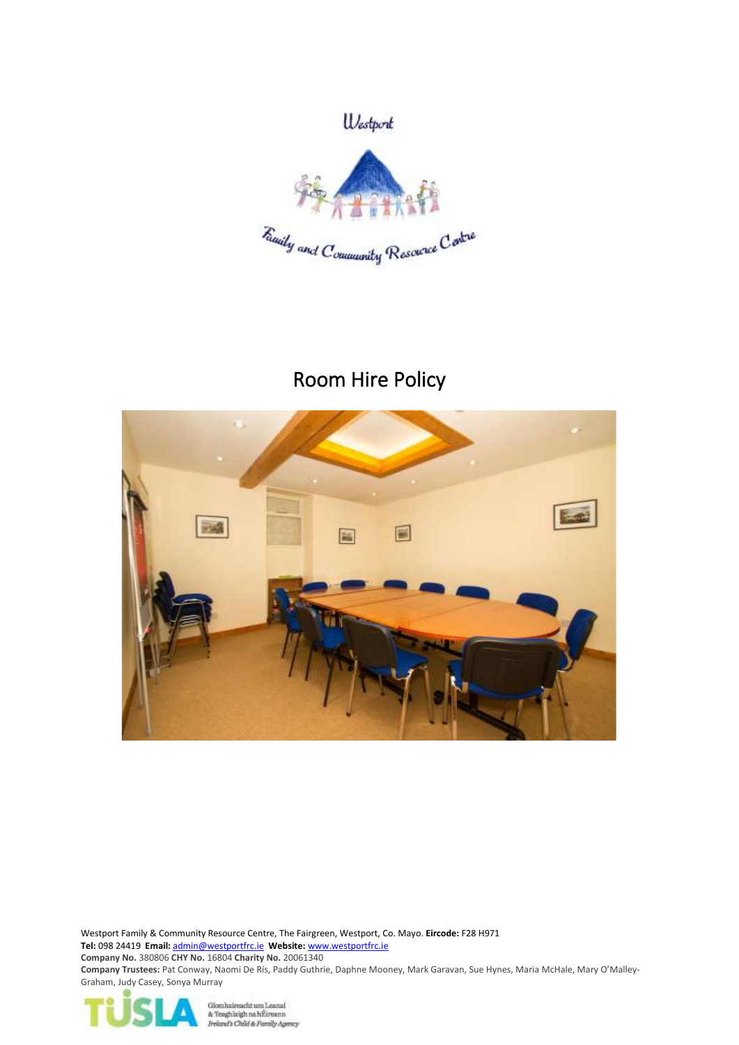

# Room Hire Policy



Westport Family & Community Resource Centre, The Fairgreen, Westport, Co. Mayo. **Eircode:** F28 H971 **Tel:** 098 24419 **Email:** [admin@westportfrc.ie](mailto:admin@westportfrc.ie) **Website:** [www.westportfrc.ie](file:///C:/Files/Westport%20FRC/letters/www.westportfrc.ie) **Company No.** 380806 **CHY No.** 16804 **Charity No.** 20061340 **Company Trustees:** Pat Conway, Naomi De Rís, Paddy Guthrie, Daphne Mooney, Mark Garavan, Sue Hynes, Maria McHale, Mary O'Malley-Graham, Judy Casey, Sonya Murray



Glomhaireacht um Leanaí<br>& Teaghlaigh na hÉireann<br>*Ireland's Chúid & Fannly Agency*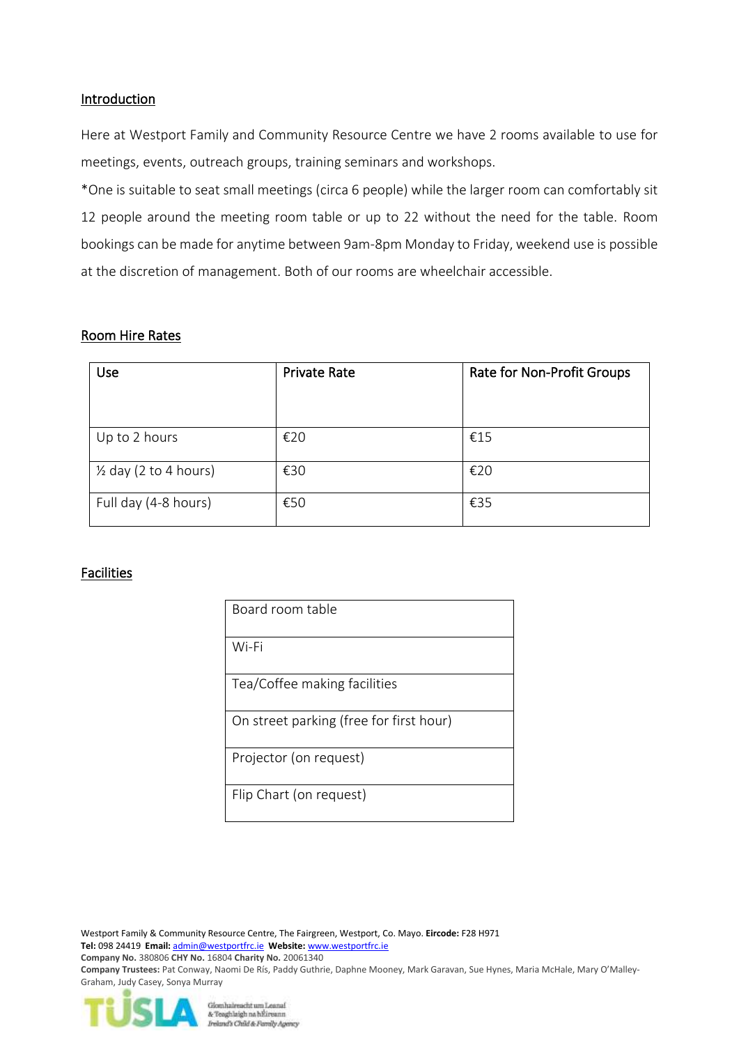## Introduction

Here at Westport Family and Community Resource Centre we have 2 rooms available to use for meetings, events, outreach groups, training seminars and workshops.

\*One is suitable to seat small meetings (circa 6 people) while the larger room can comfortably sit 12 people around the meeting room table or up to 22 without the need for the table. Room bookings can be made for anytime between 9am-8pm Monday to Friday, weekend use is possible at the discretion of management. Both of our rooms are wheelchair accessible.

#### Room Hire Rates

| Use                              | <b>Private Rate</b> | Rate for Non-Profit Groups |
|----------------------------------|---------------------|----------------------------|
| Up to 2 hours                    | €20                 | €15                        |
| $\frac{1}{2}$ day (2 to 4 hours) | €30                 | €20                        |
| Full day (4-8 hours)             | €50                 | €35                        |

# Facilities

| Board room table                        |
|-----------------------------------------|
| Wi-Fi                                   |
| Tea/Coffee making facilities            |
| On street parking (free for first hour) |
| Projector (on request)                  |
| Flip Chart (on request)                 |

Westport Family & Community Resource Centre, The Fairgreen, Westport, Co. Mayo. **Eircode:** F28 H971 **Tel:** 098 24419 **Email:** [admin@westportfrc.ie](mailto:admin@westportfrc.ie) **Website:** [www.westportfrc.ie](file:///C:/Files/Westport%20FRC/letters/www.westportfrc.ie) **Company No.** 380806 **CHY No.** 16804 **Charity No.** 20061340 **Company Trustees:** Pat Conway, Naomi De Rís, Paddy Guthrie, Daphne Mooney, Mark Garavan, Sue Hynes, Maria McHale, Mary O'Malley-Graham, Judy Casey, Sonya Murray

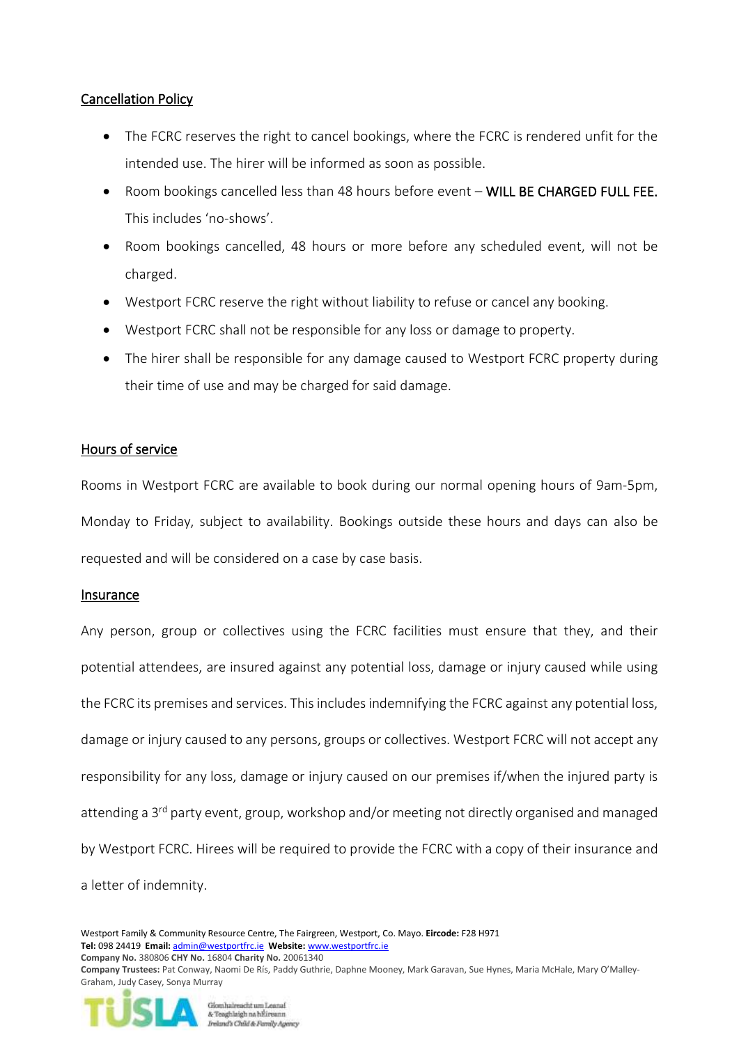# Cancellation Policy

- The FCRC reserves the right to cancel bookings, where the FCRC is rendered unfit for the intended use. The hirer will be informed as soon as possible.
- Room bookings cancelled less than 48 hours before event WILL BE CHARGED FULL FEE. This includes 'no-shows'.
- Room bookings cancelled, 48 hours or more before any scheduled event, will not be charged.
- Westport FCRC reserve the right without liability to refuse or cancel any booking.
- Westport FCRC shall not be responsible for any loss or damage to property.
- The hirer shall be responsible for any damage caused to Westport FCRC property during their time of use and may be charged for said damage.

# Hours of service

Rooms in Westport FCRC are available to book during our normal opening hours of 9am-5pm, Monday to Friday, subject to availability. Bookings outside these hours and days can also be requested and will be considered on a case by case basis.

# Insurance

Any person, group or collectives using the FCRC facilities must ensure that they, and their potential attendees, are insured against any potential loss, damage or injury caused while using the FCRC its premises and services. This includes indemnifying the FCRC against any potential loss, damage or injury caused to any persons, groups or collectives. Westport FCRC will not accept any responsibility for any loss, damage or injury caused on our premises if/when the injured party is attending a 3<sup>rd</sup> party event, group, workshop and/or meeting not directly organised and managed by Westport FCRC. Hirees will be required to provide the FCRC with a copy of their insurance and a letter of indemnity.

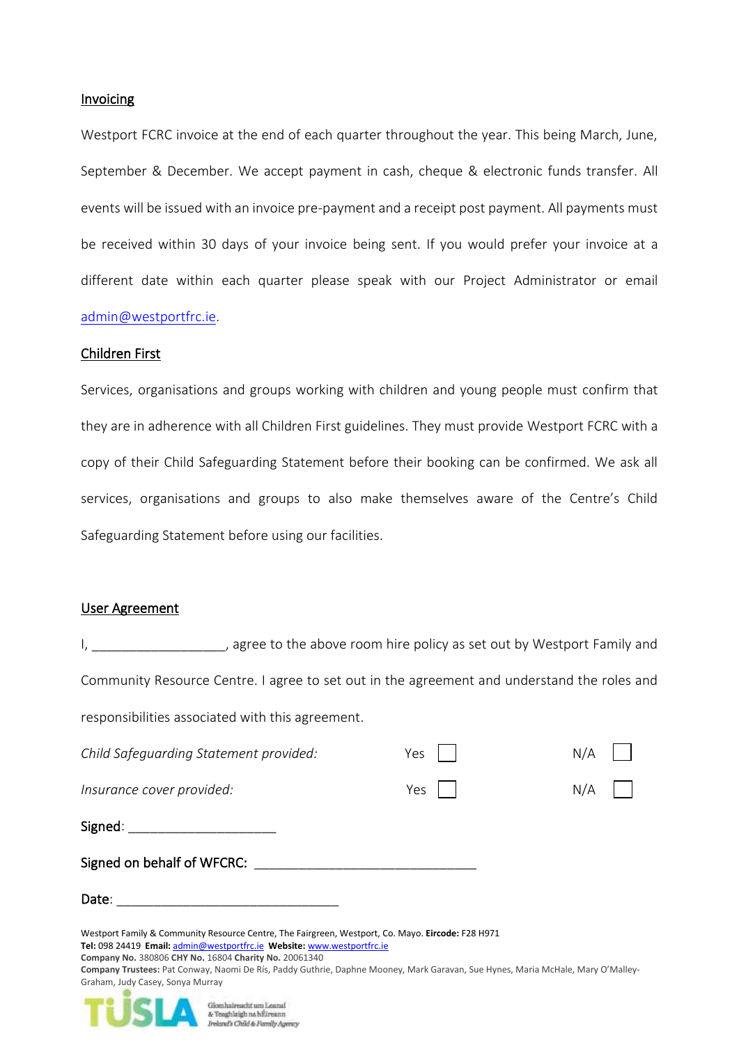#### Invoicing

Westport FCRC invoice at the end of each quarter throughout the year. This being March, June, September & December. We accept payment in cash, cheque & electronic funds transfer. All events will be issued with an invoice pre-payment and a receipt post payment. All payments must be received within 30 days of your invoice being sent. If you would prefer your invoice at a different date within each quarter please speak with our Project Administrator or email [admin@westportfrc.ie.](mailto:admin@westportfrc.ie)

#### Children First

Services, organisations and groups working with children and young people must confirm that they are in adherence with all Children First guidelines. They must provide Westport FCRC with a copy of their Child Safeguarding Statement before their booking can be confirmed. We ask all services, organisations and groups to also make themselves aware of the Centre's Child Safeguarding Statement before using our facilities.

#### User Agreement

I, agree to the above room hire policy as set out by Westport Family and Community Resource Centre. I agree to set out in the agreement and understand the roles and responsibilities associated with this agreement.

| Child Safeguarding Statement provided:                                                                                                                                                                                                                                                                                                                                                                      | Yes | N/A |  |
|-------------------------------------------------------------------------------------------------------------------------------------------------------------------------------------------------------------------------------------------------------------------------------------------------------------------------------------------------------------------------------------------------------------|-----|-----|--|
| Insurance cover provided:                                                                                                                                                                                                                                                                                                                                                                                   | Yes | N/A |  |
| Signed:                                                                                                                                                                                                                                                                                                                                                                                                     |     |     |  |
| Signed on behalf of WFCRC:                                                                                                                                                                                                                                                                                                                                                                                  |     |     |  |
| Date:                                                                                                                                                                                                                                                                                                                                                                                                       |     |     |  |
| Westport Family & Community Resource Centre, The Fairgreen, Westport, Co. Mayo. Eircode: F28 H971<br>Tel: 098 24419 Email: admin@westportfrc.ie Website: www.westportfrc.ie<br>Company No. 380806 CHY No. 16804 Charity No. 20061340<br>Company Trustees: Pat Conway, Naomi De Rís, Paddy Guthrie, Daphne Mooney, Mark Garavan, Sue Hynes, Maria McHale, Mary O'Malley-<br>Graham, Judy Casey, Sonya Murray |     |     |  |